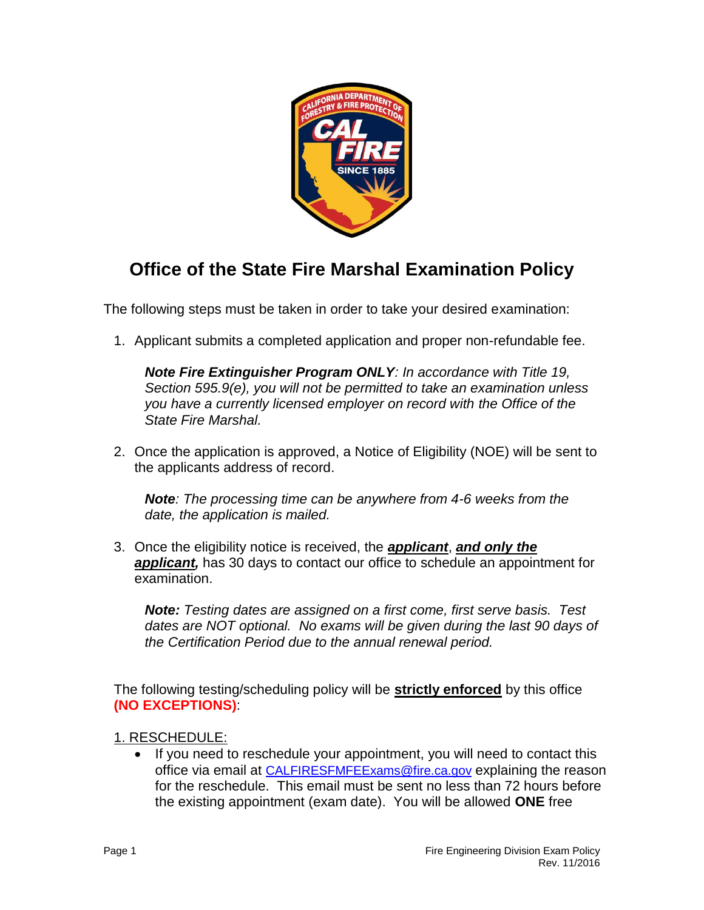

# **Office of the State Fire Marshal Examination Policy**

The following steps must be taken in order to take your desired examination:

1. Applicant submits a completed application and proper non-refundable fee.

 *Section 595.9(e), you will not be permitted to take an examination unless Note Fire Extinguisher Program ONLY: In accordance with Title 19, you have a currently licensed employer on record with the Office of the State Fire Marshal.* 

2. Once the application is approved, a Notice of Eligibility (NOE) will be sent to the applicants address of record.

*Note: The processing time can be anywhere from 4-6 weeks from the date, the application is mailed.* 

3. Once the eligibility notice is received, the *applicant*, *and only the applicant,* has 30 days to contact our office to schedule an appointment for examination.

 *Note: Testing dates are assigned on a first come, first serve basis. Test*  dates are NOT optional. No exams will be given during the last 90 days of  *the Certification Period due to the annual renewal period.* 

 The following testing/scheduling policy will be **strictly enforced** by this office **(NO EXCEPTIONS)**:

## 1. RESCHEDULE:

• If you need to reschedule your appointment, you will need to contact this office via email at [CALFIRESFMFEExams@fire.ca.gov](mailto:CALFIRESFMFEExams@fire.ca.gov) explaining the reason for the reschedule. This email must be sent no less than 72 hours before the existing appointment (exam date). You will be allowed **ONE** free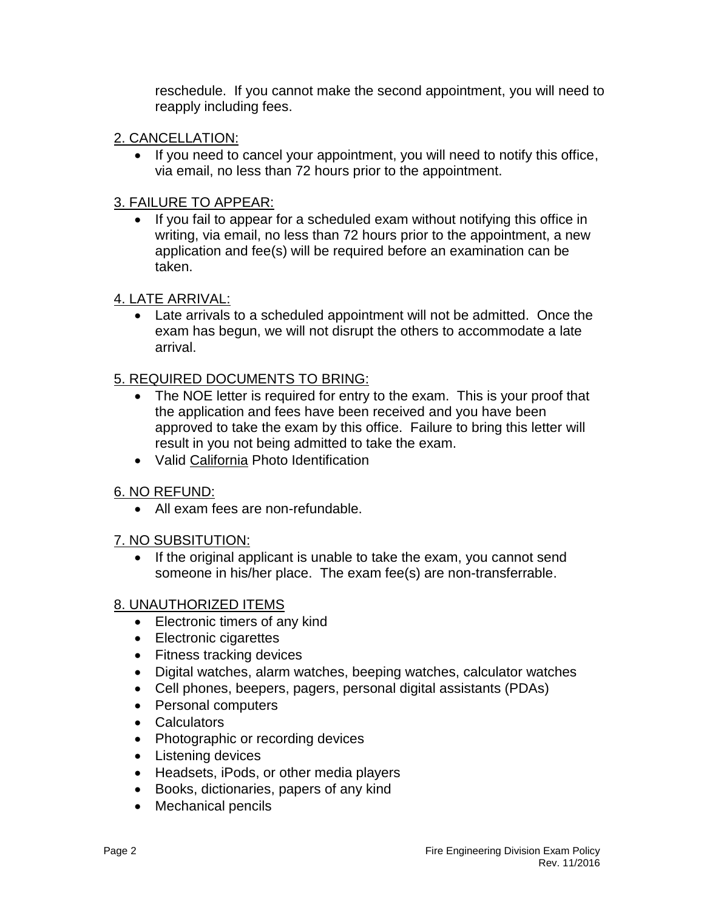reschedule. If you cannot make the second appointment, you will need to reapply including fees.

# 2. CANCELLATION:

via email, no less than 72 hours prior to the appointment.<br>3. FAILURE TO APPEAR: • If you need to cancel your appointment, you will need to notify this office,

 writing, via email, no less than 72 hours prior to the appointment, a new • If you fail to appear for a scheduled exam without notifying this office in application and fee(s) will be required before an examination can be taken.

# 4. LATE ARRIVAL:

 Late arrivals to a scheduled appointment will not be admitted. Once the exam has begun, we will not disrupt the others to accommodate a late arrival.

# 5. REQUIRED DOCUMENTS TO BRING:

- the application and fees have been received and you have been • The NOE letter is required for entry to the exam. This is your proof that approved to take the exam by this office. Failure to bring this letter will result in you not being admitted to take the exam.
- Valid California Photo Identification

## 6. NO REFUND:

All exam fees are non-refundable.

## 7. NO SUBSITUTION:

• If the original applicant is unable to take the exam, you cannot send someone in his/her place. The exam fee(s) are non-transferrable.

## 8. UNAUTHORIZED ITEMS

- Electronic timers of any kind
- Electronic cigarettes
- Fitness tracking devices
- Digital watches, alarm watches, beeping watches, calculator watches
- Cell phones, beepers, pagers, personal digital assistants (PDAs)
- Personal computers
- Calculators
- Photographic or recording devices
- Listening devices
- Headsets, iPods, or other media players
- Books, dictionaries, papers of any kind
- Mechanical pencils